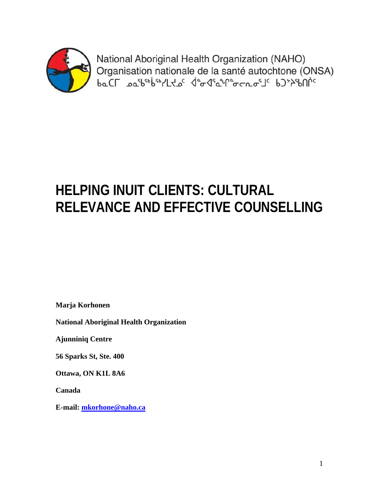

National Aboriginal Health Organization (NAHO) Organisation nationale de la santé autochtone (ONSA) baCL pathobiolLtoc deaded formous bypelinic

# **HELPING INUIT CLIENTS: CULTURAL RELEVANCE AND EFFECTIVE COUNSELLING**

**Marja Korhonen** 

**National Aboriginal Health Organization** 

**Ajunniniq Centre** 

**56 Sparks St, Ste. 400** 

**Ottawa, ON K1L 8A6** 

**Canada** 

**E-mail: mkorhone@naho.ca**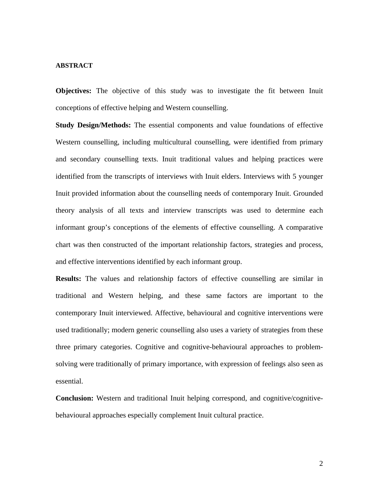#### **ABSTRACT**

**Objectives:** The objective of this study was to investigate the fit between Inuit conceptions of effective helping and Western counselling.

**Study Design/Methods:** The essential components and value foundations of effective Western counselling, including multicultural counselling, were identified from primary and secondary counselling texts. Inuit traditional values and helping practices were identified from the transcripts of interviews with Inuit elders. Interviews with 5 younger Inuit provided information about the counselling needs of contemporary Inuit. Grounded theory analysis of all texts and interview transcripts was used to determine each informant group's conceptions of the elements of effective counselling. A comparative chart was then constructed of the important relationship factors, strategies and process, and effective interventions identified by each informant group.

**Results:** The values and relationship factors of effective counselling are similar in traditional and Western helping, and these same factors are important to the contemporary Inuit interviewed. Affective, behavioural and cognitive interventions were used traditionally; modern generic counselling also uses a variety of strategies from these three primary categories. Cognitive and cognitive-behavioural approaches to problemsolving were traditionally of primary importance, with expression of feelings also seen as essential.

**Conclusion:** Western and traditional Inuit helping correspond, and cognitive/cognitivebehavioural approaches especially complement Inuit cultural practice.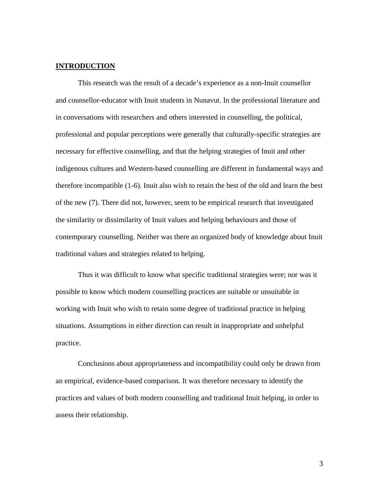## **INTRODUCTION**

This research was the result of a decade's experience as a non-Inuit counsellor and counsellor-educator with Inuit students in Nunavut. In the professional literature and in conversations with researchers and others interested in counselling, the political, professional and popular perceptions were generally that culturally-specific strategies are necessary for effective counselling, and that the helping strategies of Inuit and other indigenous cultures and Western-based counselling are different in fundamental ways and therefore incompatible (1-6). Inuit also wish to retain the best of the old and learn the best of the new (7). There did not, however, seem to be empirical research that investigated the similarity or dissimilarity of Inuit values and helping behaviours and those of contemporary counselling. Neither was there an organized body of knowledge about Inuit traditional values and strategies related to helping.

Thus it was difficult to know what specific traditional strategies were; nor was it possible to know which modern counselling practices are suitable or unsuitable in working with Inuit who wish to retain some degree of traditional practice in helping situations. Assumptions in either direction can result in inappropriate and unhelpful practice.

Conclusions about appropriateness and incompatibility could only be drawn from an empirical, evidence-based comparison. It was therefore necessary to identify the practices and values of both modern counselling and traditional Inuit helping, in order to assess their relationship.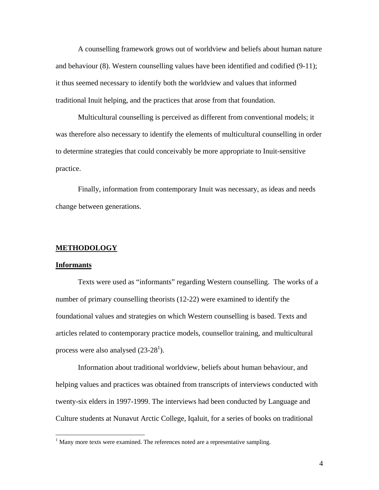A counselling framework grows out of worldview and beliefs about human nature and behaviour (8). Western counselling values have been identified and codified (9-11); it thus seemed necessary to identify both the worldview and values that informed traditional Inuit helping, and the practices that arose from that foundation.

Multicultural counselling is perceived as different from conventional models; it was therefore also necessary to identify the elements of multicultural counselling in order to determine strategies that could conceivably be more appropriate to Inuit-sensitive practice.

Finally, information from contemporary Inuit was necessary, as ideas and needs change between generations.

### **METHODOLOGY**

#### **Informants**

 $\overline{a}$ 

Texts were used as "informants" regarding Western counselling. The works of a number of primary counselling theorists (12-22) were examined to identify the foundational values and strategies on which Western counselling is based. Texts and articles related to contemporary practice models, counsellor training, and multicultural process were also analysed  $(23-28^1)$ .

 Information about traditional worldview, beliefs about human behaviour, and helping values and practices was obtained from transcripts of interviews conducted with twenty-six elders in 1997-1999. The interviews had been conducted by Language and Culture students at Nunavut Arctic College, Iqaluit, for a series of books on traditional

 $<sup>1</sup>$  Many more texts were examined. The references noted are a representative sampling.</sup>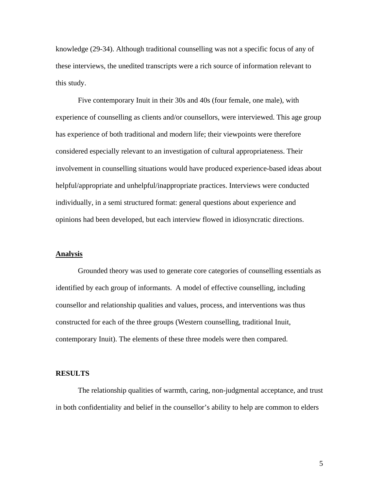knowledge (29-34). Although traditional counselling was not a specific focus of any of these interviews, the unedited transcripts were a rich source of information relevant to this study.

 Five contemporary Inuit in their 30s and 40s (four female, one male), with experience of counselling as clients and/or counsellors, were interviewed. This age group has experience of both traditional and modern life; their viewpoints were therefore considered especially relevant to an investigation of cultural appropriateness. Their involvement in counselling situations would have produced experience-based ideas about helpful/appropriate and unhelpful/inappropriate practices. Interviews were conducted individually, in a semi structured format: general questions about experience and opinions had been developed, but each interview flowed in idiosyncratic directions.

#### **Analysis**

Grounded theory was used to generate core categories of counselling essentials as identified by each group of informants. A model of effective counselling, including counsellor and relationship qualities and values, process, and interventions was thus constructed for each of the three groups (Western counselling, traditional Inuit, contemporary Inuit). The elements of these three models were then compared.

#### **RESULTS**

The relationship qualities of warmth, caring, non-judgmental acceptance, and trust in both confidentiality and belief in the counsellor's ability to help are common to elders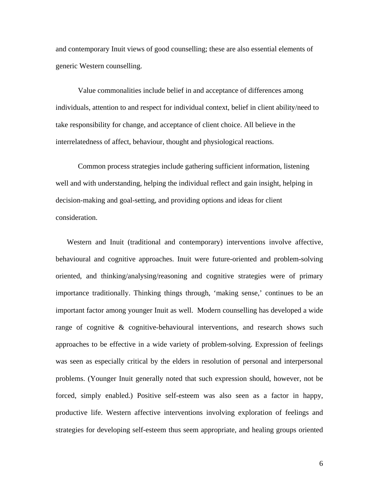and contemporary Inuit views of good counselling; these are also essential elements of generic Western counselling.

Value commonalities include belief in and acceptance of differences among individuals, attention to and respect for individual context, belief in client ability/need to take responsibility for change, and acceptance of client choice. All believe in the interrelatedness of affect, behaviour, thought and physiological reactions.

Common process strategies include gathering sufficient information, listening well and with understanding, helping the individual reflect and gain insight, helping in decision-making and goal-setting, and providing options and ideas for client consideration.

Western and Inuit (traditional and contemporary) interventions involve affective, behavioural and cognitive approaches. Inuit were future-oriented and problem-solving oriented, and thinking/analysing/reasoning and cognitive strategies were of primary importance traditionally. Thinking things through, 'making sense,' continues to be an important factor among younger Inuit as well. Modern counselling has developed a wide range of cognitive & cognitive-behavioural interventions, and research shows such approaches to be effective in a wide variety of problem-solving. Expression of feelings was seen as especially critical by the elders in resolution of personal and interpersonal problems. (Younger Inuit generally noted that such expression should, however, not be forced, simply enabled.) Positive self-esteem was also seen as a factor in happy, productive life. Western affective interventions involving exploration of feelings and strategies for developing self-esteem thus seem appropriate, and healing groups oriented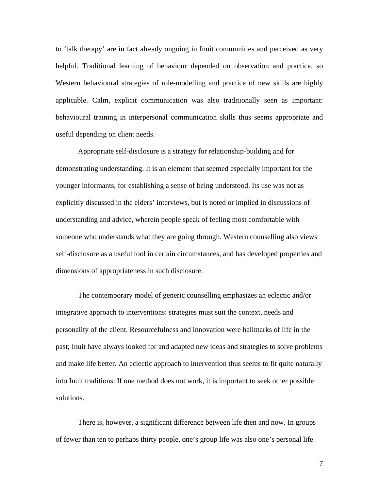to 'talk therapy' are in fact already ongoing in Inuit communities and perceived as very helpful. Traditional learning of behaviour depended on observation and practice, so Western behavioural strategies of role-modelling and practice of new skills are highly applicable. Calm, explicit communication was also traditionally seen as important: behavioural training in interpersonal communication skills thus seems appropriate and useful depending on client needs.

Appropriate self-disclosure is a strategy for relationship-building and for demonstrating understanding. It is an element that seemed especially important for the younger informants, for establishing a sense of being understood. Its use was not as explicitly discussed in the elders' interviews, but is noted or implied in discussions of understanding and advice, wherein people speak of feeling most comfortable with someone who understands what they are going through. Western counselling also views self-disclosure as a useful tool in certain circumstances, and has developed properties and dimensions of appropriateness in such disclosure.

The contemporary model of generic counselling emphasizes an eclectic and/or integrative approach to interventions: strategies must suit the context, needs and personality of the client. Resourcefulness and innovation were hallmarks of life in the past; Inuit have always looked for and adapted new ideas and strategies to solve problems and make life better. An eclectic approach to intervention thus seems to fit quite naturally into Inuit traditions: If one method does not work, it is important to seek other possible solutions.

There is, however, a significant difference between life then and now. In groups of fewer than ten to perhaps thirty people, one's group life was also one's personal life –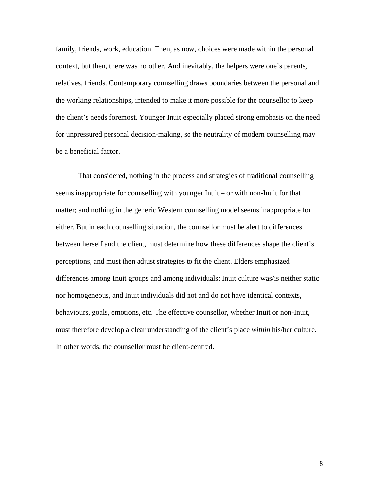family, friends, work, education. Then, as now, choices were made within the personal context, but then, there was no other. And inevitably, the helpers were one's parents, relatives, friends. Contemporary counselling draws boundaries between the personal and the working relationships, intended to make it more possible for the counsellor to keep the client's needs foremost. Younger Inuit especially placed strong emphasis on the need for unpressured personal decision-making, so the neutrality of modern counselling may be a beneficial factor.

That considered, nothing in the process and strategies of traditional counselling seems inappropriate for counselling with younger Inuit – or with non-Inuit for that matter; and nothing in the generic Western counselling model seems inappropriate for either. But in each counselling situation, the counsellor must be alert to differences between herself and the client, must determine how these differences shape the client's perceptions, and must then adjust strategies to fit the client. Elders emphasized differences among Inuit groups and among individuals: Inuit culture was/is neither static nor homogeneous, and Inuit individuals did not and do not have identical contexts, behaviours, goals, emotions, etc. The effective counsellor, whether Inuit or non-Inuit, must therefore develop a clear understanding of the client's place *within* his/her culture. In other words, the counsellor must be client-centred.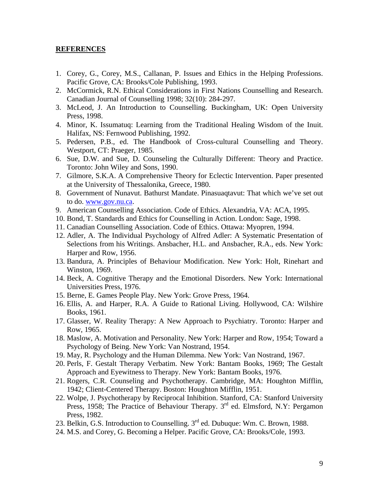#### **REFERENCES**

- 1. Corey, G., Corey, M.S., Callanan, P. Issues and Ethics in the Helping Professions. Pacific Grove, CA: Brooks/Cole Publishing, 1993.
- 2. McCormick, R.N. Ethical Considerations in First Nations Counselling and Research. Canadian Journal of Counselling 1998; 32(10): 284-297.
- 3. McLeod, J. An Introduction to Counselling. Buckingham, UK: Open University Press, 1998.
- 4. Minor, K. Issumatuq: Learning from the Traditional Healing Wisdom of the Inuit. Halifax, NS: Fernwood Publishing, 1992.
- 5. Pedersen, P.B., ed. The Handbook of Cross-cultural Counselling and Theory. Westport, CT: Praeger, 1985.
- 6. Sue, D.W. and Sue, D. Counseling the Culturally Different: Theory and Practice. Toronto: John Wiley and Sons, 1990.
- 7. Gilmore, S.K.A. A Comprehensive Theory for Eclectic Intervention. Paper presented at the University of Thessalonika, Greece, 1980.
- 8. Government of Nunavut. Bathurst Mandate. Pinasuaqtavut: That which we've set out to do. www.gov.nu.ca.
- 9. American Counselling Association. Code of Ethics. Alexandria, VA: ACA, 1995.
- 10. Bond, T. Standards and Ethics for Counselling in Action. London: Sage, 1998.
- 11. Canadian Counselling Association. Code of Ethics. Ottawa: Myopren, 1994.
- 12. Adler, A. The Individual Psychology of Alfred Adler: A Systematic Presentation of Selections from his Writings. Ansbacher, H.L. and Ansbacher, R.A., eds. New York: Harper and Row, 1956.
- 13. Bandura, A. Principles of Behaviour Modification. New York: Holt, Rinehart and Winston, 1969.
- 14. Beck, A. Cognitive Therapy and the Emotional Disorders. New York: International Universities Press, 1976.
- 15. Berne, E. Games People Play. New York: Grove Press, 1964.
- 16. Ellis, A. and Harper, R.A. A Guide to Rational Living. Hollywood, CA: Wilshire Books, 1961.
- 17. Glasser, W. Reality Therapy: A New Approach to Psychiatry. Toronto: Harper and Row, 1965.
- 18. Maslow, A. Motivation and Personality. New York: Harper and Row, 1954; Toward a Psychology of Being. New York: Van Nostrand, 1954.
- 19. May, R. Psychology and the Human Dilemma. New York: Van Nostrand, 1967.
- 20. Perls, F. Gestalt Therapy Verbatim. New York: Bantam Books, 1969; The Gestalt Approach and Eyewitness to Therapy. New York: Bantam Books, 1976.
- 21. Rogers, C.R. Counseling and Psychotherapy. Cambridge, MA: Houghton Mifflin, 1942; Client-Centered Therapy. Boston: Houghton Mifflin, 1951.
- 22. Wolpe, J. Psychotherapy by Reciprocal Inhibition. Stanford, CA: Stanford University Press, 1958; The Practice of Behaviour Therapy. 3<sup>rd</sup> ed. Elmsford, N.Y: Pergamon Press, 1982.
- 23. Belkin, G.S. Introduction to Counselling. 3<sup>rd</sup> ed. Dubuque: Wm. C. Brown, 1988.
- 24. M.S. and Corey, G. Becoming a Helper. Pacific Grove, CA: Brooks/Cole, 1993.